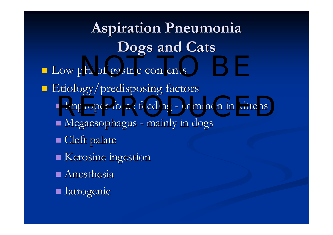## **Aspiration Pneumonia Dogs and Cats Dogs and Cats**

Low pH of gastric contents **Etiology/predisposing factors**  Improper force feeding Improper force feeding - common in kittens  $\blacksquare$  Megaesophagus - mainly in dogs  $\blacksquare$  Cleft palate Kerosine ingestion  $\blacksquare$  Anesthesia Iatrogenic Iatrogenic Improper force feeding - common in kittens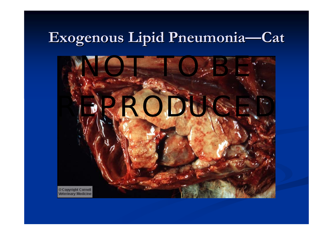### **Exogenous Lipid Pneumonia Exogenous Lipid Pneumonia—Cat**

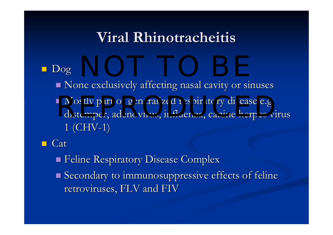### **Viral Rhinotracheitis**

#### p. Dog

- None exclusively affecting nasal cavity or sinuses
- Mostly part of generalized respiratory disease e.g.<br>Mostly part of generalized respiratory disease e.g. Mostly distemper, adenovirus, influenza, canine herpes virus 1 (CHV-1)

#### $\Box$  Cat

- Feline Respiratory Disease Complex
- $\blacksquare$  Secondary to immunosuppressive effects of feline retroviruses, FLV and FIV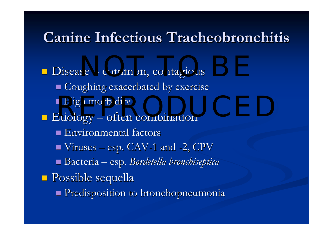### **Canine Infectious Tracheobronchitis**

 $\blacksquare$  Disease  $$ se – common, contagious **Coughing exacerbated by exercise** High morbidity<br>Representation  $\blacksquare$  Etiology  $\cdot$  $-$  often combination  $\blacksquare$  Environmental factors  $\blacksquare$  Viruses  $-$ – esp. CAV-1 and -2, CPV ■ Bacteria – esp. *Bordetella Bordetella bronchiseptica bronchiseptica* **Possible sequella** Predisposition to bronchopneumonia Predisposition to bronchopneumonia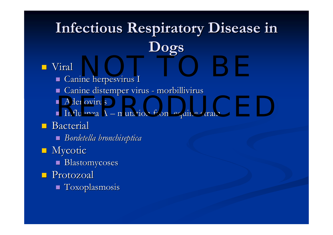# **Infectious Respiratory Disease in Dogs** NOT TO BE A REPORT OF THE SERVICE OF THE SERVICE OF THE SERVICE OF THE SERVICE OF THE SERVICE OF THE SERVICE O<br>NOTE: THE SERVICE OF THE SERVICE OF THE SERVICE OF THE SERVICE OF THE SERVICE OF THE SERVICE OF THE SERVICE OF<br>

### **N** Viral

- **E** Canine herpesvirus I
- **Canine distemper virus** - morbillivirus
- $\mathbb{R}^2$ Adenovirus
- $\blacksquare$  Influenza A net all alternations and alternation from equine strain and all alternation from equine strain and all alternations of  $\mathbb{R}^n$
- $\blacksquare$  Bacterial
	- *Bordetella Bordetella bronchiseptica bronchiseptica*
- $\blacksquare$  Mycotic
	- $\blacksquare$  Blastomycoses
- **Protozoal** 
	- **T**oxoplasmosis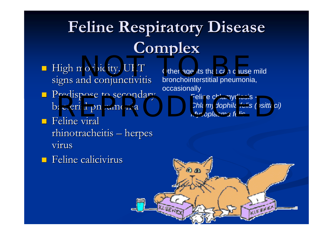# **Feline Respiratory Disease Complex Complex**

- $\blacksquare$  High morbidity, URT signs and conjunctivitis  $\operatorname{orbidity}, \text{URT} \qquad \text{Other agents that can cause mild}$
- **Predispose to secondary** bacterial pneumonia
- $\blacksquare$  Feline viral rhinotracheitis – herpes virus

bronchointerstitial pneumonia, occasionally

Feline chlamydiosis - *Chlamydophila felis (psittaci) Mycoplasma felis* reline chiamydiosis -<br>acterial pneumonia *Chlamydophila felis (psittaci)*<br>*Mycoplasma felis* 

p. Feline calicivirus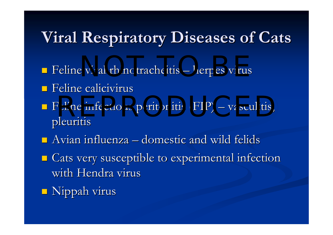### **Viral Respiratory Diseases of Cats Viral Respiratory Diseases of Cats**

- $\blacksquare$  Feline viral rhinotracheitis  $\blacksquare$ nd individual thinotracheitis - herpes virus  $\blacksquare$  Feline calicivirus
- $\blacksquare$  Feline infectious peritonitis (FIP)  $\cdot$ — vasculitis, pleuritis 'eline infectious peritonitis (FIP) - vasculitis,
- $\blacksquare$  Avian influenza domestic and wild felids
- $\blacksquare$  Cats very susceptible to experimental infection with Hendra virus
- Nippah virus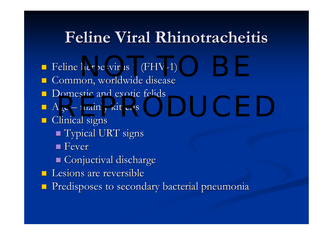### **Feline Viral Rhinotracheitis Feline Viral Rhinotracheitis**

 $\blacksquare$  Feline herpesvirus 1 (FHV-1) Common, worldwide disease **Domestic and exotic felids**  $\blacksquare$  Age  $\blacksquare$ **Holland** Construction — mainly kittens **Clinical signs**  $\blacksquare$  Typical URT signs **F**ever **Conjuctival discharge Lesions are reversible Predisposes to secondary bacterial pneumonia** herpesvirus 1 (FHV-1) ge – mainly kittens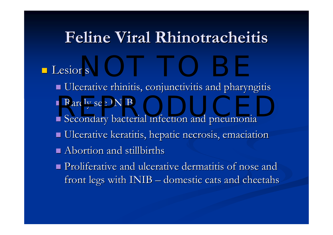## **Feline Viral Rhinotracheitis**

#### $\blacksquare$  Lesions  $\overline{\text{MS}}$

- Ulcerative rhinitis, conjunctivitis and pharyngitis
- Rarely see INIB
- $\blacksquare$  Secondary bacterial infection and pneumonia
- Ulcerative keratitis, hepatic necrosis, emaciation
- $\blacksquare$  Abortion and stillbirths
- $\blacksquare$  Proliferative and ulcerative dermatitis of nose and front legs with  $INIB$  – domestic cats and cheetahs